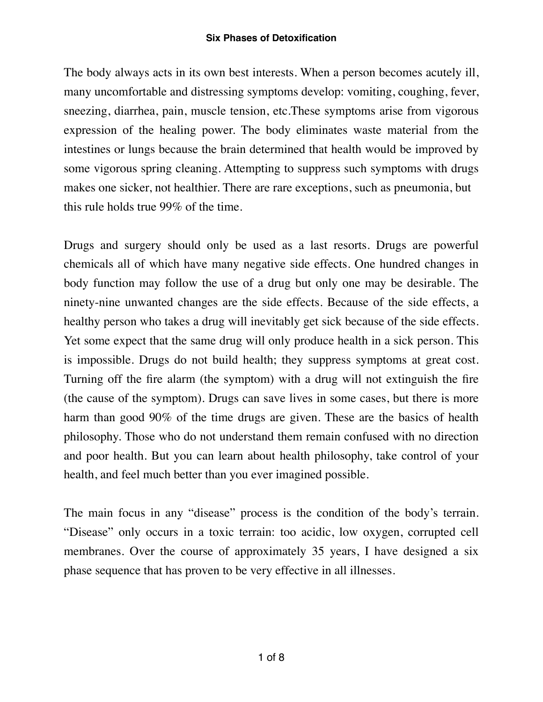## **Six Phases of Detoxification**

The body always acts in its own best interests. When a person becomes acutely ill, many uncomfortable and distressing symptoms develop: vomiting, coughing, fever, sneezing, diarrhea, pain, muscle tension, etc.These symptoms arise from vigorous expression of the healing power. The body eliminates waste material from the intestines or lungs because the brain determined that health would be improved by some vigorous spring cleaning. Attempting to suppress such symptoms with drugs makes one sicker, not healthier. There are rare exceptions, such as pneumonia, but this rule holds true 99% of the time.

Drugs and surgery should only be used as a last resorts. Drugs are powerful chemicals all of which have many negative side effects. One hundred changes in body function may follow the use of a drug but only one may be desirable. The ninety-nine unwanted changes are the side effects. Because of the side effects, a healthy person who takes a drug will inevitably get sick because of the side effects. Yet some expect that the same drug will only produce health in a sick person. This is impossible. Drugs do not build health; they suppress symptoms at great cost. Turning off the fire alarm (the symptom) with a drug will not extinguish the fire (the cause of the symptom). Drugs can save lives in some cases, but there is more harm than good 90% of the time drugs are given. These are the basics of health philosophy. Those who do not understand them remain confused with no direction and poor health. But you can learn about health philosophy, take control of your health, and feel much better than you ever imagined possible.

The main focus in any "disease" process is the condition of the body's terrain. "Disease" only occurs in a toxic terrain: too acidic, low oxygen, corrupted cell membranes. Over the course of approximately 35 years, I have designed a six phase sequence that has proven to be very effective in all illnesses.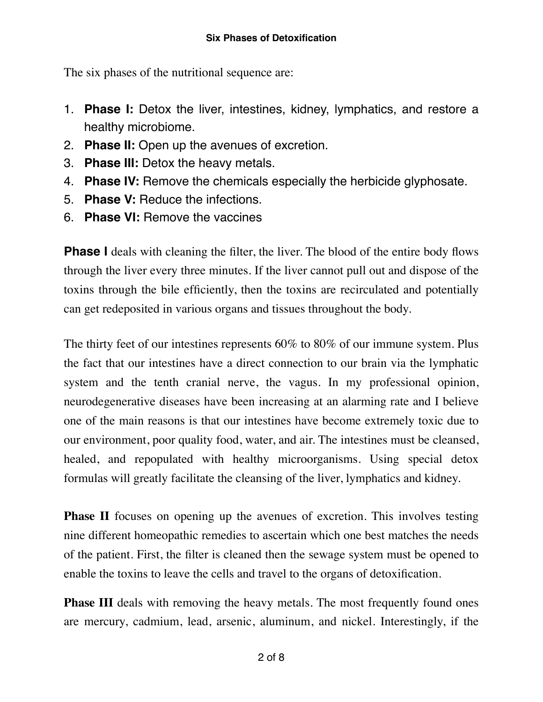The six phases of the nutritional sequence are:

- 1. **Phase I:** Detox the liver, intestines, kidney, lymphatics, and restore a healthy microbiome.
- 2. **Phase II:** Open up the avenues of excretion.
- 3. **Phase III:** Detox the heavy metals.
- 4. **Phase IV:** Remove the chemicals especially the herbicide glyphosate.
- 5. **Phase V:** Reduce the infections.
- 6. **Phase VI:** Remove the vaccines

**Phase I** deals with cleaning the filter, the liver. The blood of the entire body flows through the liver every three minutes. If the liver cannot pull out and dispose of the toxins through the bile efficiently, then the toxins are recirculated and potentially can get redeposited in various organs and tissues throughout the body.

The thirty feet of our intestines represents 60% to 80% of our immune system. Plus the fact that our intestines have a direct connection to our brain via the lymphatic system and the tenth cranial nerve, the vagus. In my professional opinion, neurodegenerative diseases have been increasing at an alarming rate and I believe one of the main reasons is that our intestines have become extremely toxic due to our environment, poor quality food, water, and air. The intestines must be cleansed, healed, and repopulated with healthy microorganisms. Using special detox formulas will greatly facilitate the cleansing of the liver, lymphatics and kidney.

**Phase II** focuses on opening up the avenues of excretion. This involves testing nine different homeopathic remedies to ascertain which one best matches the needs of the patient. First, the filter is cleaned then the sewage system must be opened to enable the toxins to leave the cells and travel to the organs of detoxification.

**Phase III** deals with removing the heavy metals. The most frequently found ones are mercury, cadmium, lead, arsenic, aluminum, and nickel. Interestingly, if the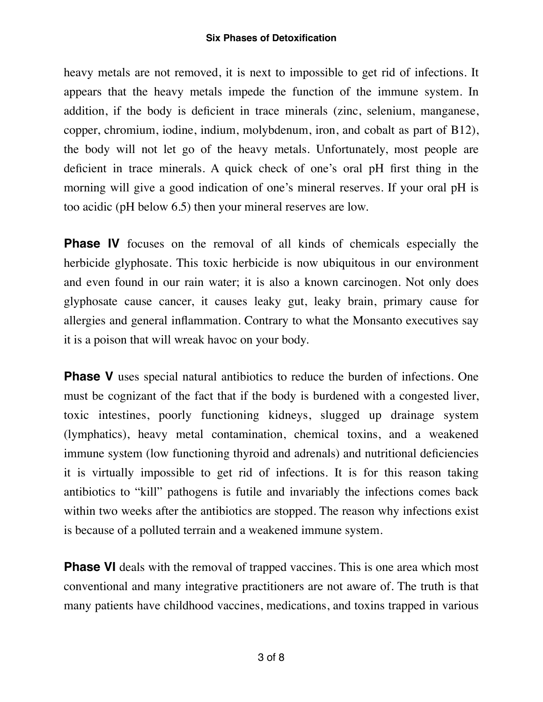## **Six Phases of Detoxification**

heavy metals are not removed, it is next to impossible to get rid of infections. It appears that the heavy metals impede the function of the immune system. In addition, if the body is deficient in trace minerals (zinc, selenium, manganese, copper, chromium, iodine, indium, molybdenum, iron, and cobalt as part of B12), the body will not let go of the heavy metals. Unfortunately, most people are deficient in trace minerals. A quick check of one's oral pH first thing in the morning will give a good indication of one's mineral reserves. If your oral pH is too acidic (pH below 6.5) then your mineral reserves are low.

**Phase IV** focuses on the removal of all kinds of chemicals especially the herbicide glyphosate. This toxic herbicide is now ubiquitous in our environment and even found in our rain water; it is also a known carcinogen. Not only does glyphosate cause cancer, it causes leaky gut, leaky brain, primary cause for allergies and general inflammation. Contrary to what the Monsanto executives say it is a poison that will wreak havoc on your body.

**Phase V** uses special natural antibiotics to reduce the burden of infections. One must be cognizant of the fact that if the body is burdened with a congested liver, toxic intestines, poorly functioning kidneys, slugged up drainage system (lymphatics), heavy metal contamination, chemical toxins, and a weakened immune system (low functioning thyroid and adrenals) and nutritional deficiencies it is virtually impossible to get rid of infections. It is for this reason taking antibiotics to "kill" pathogens is futile and invariably the infections comes back within two weeks after the antibiotics are stopped. The reason why infections exist is because of a polluted terrain and a weakened immune system.

**Phase VI** deals with the removal of trapped vaccines. This is one area which most conventional and many integrative practitioners are not aware of. The truth is that many patients have childhood vaccines, medications, and toxins trapped in various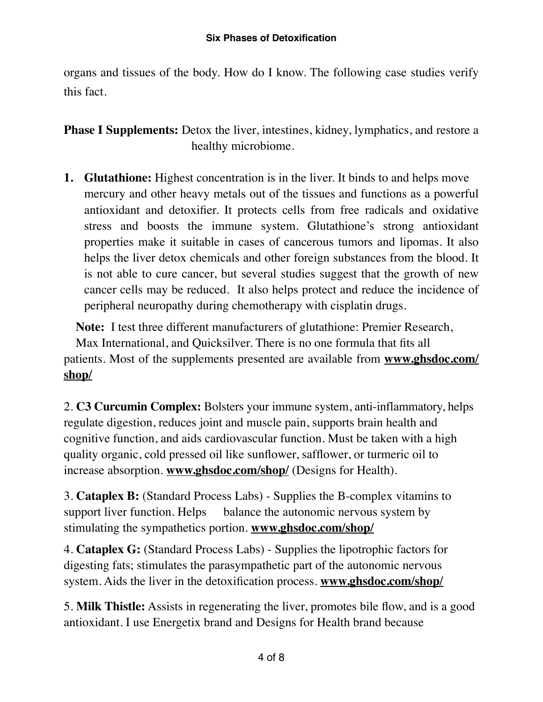organs and tissues of the body. How do I know. The following case studies verify this fact.

**Phase I Supplements:** Detox the liver, intestines, kidney, lymphatics, and restore a healthy microbiome.

**1. Glutathione:** Highest concentration is in the liver. It binds to and helps move mercury and other heavy metals out of the tissues and functions as a powerful antioxidant and detoxifier. It protects cells from free radicals and oxidative stress and boosts the immune system. Glutathione's strong antioxidant properties make it suitable in cases of cancerous tumors and lipomas. It also helps the liver detox chemicals and other foreign substances from the blood. It is not able to cure cancer, but several studies suggest that the growth of new cancer cells may be reduced. It also helps protect and reduce the incidence of peripheral neuropathy during chemotherapy with cisplatin drugs.

**Note:** I test three different manufacturers of glutathione: Premier Research, Max International, and Quicksilver. There is no one formula that fits all patients. Most of the supplements presented are available from **www.ghsdoc.com/ shop/**

2. **C3 Curcumin Complex:** Bolsters your immune system, anti-inflammatory, helps regulate digestion, reduces joint and muscle pain, supports brain health and cognitive function, and aids cardiovascular function. Must be taken with a high quality organic, cold pressed oil like sunflower, safflower, or turmeric oil to increase absorption. **www.ghsdoc.com/shop/** (Designs for Health).

3. **Cataplex B:** (Standard Process Labs) - Supplies the B-complex vitamins to support liver function. Helps balance the autonomic nervous system by stimulating the sympathetics portion. **www.ghsdoc.com/shop/**

4. **Cataplex G:** (Standard Process Labs) - Supplies the lipotrophic factors for digesting fats; stimulates the parasympathetic part of the autonomic nervous system. Aids the liver in the detoxification process. **www.ghsdoc.com/shop/**

5. **Milk Thistle:** Assists in regenerating the liver, promotes bile flow, and is a good antioxidant. I use Energetix brand and Designs for Health brand because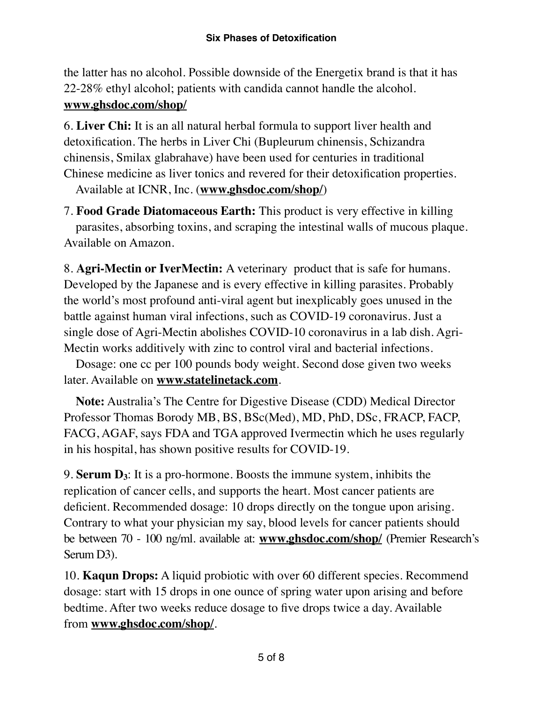the latter has no alcohol. Possible downside of the Energetix brand is that it has 22-28% ethyl alcohol; patients with candida cannot handle the alcohol. **www.ghsdoc.com/shop/**

6. **Liver Chi:** It is an all natural herbal formula to support liver health and detoxification. The herbs in Liver Chi (Bupleurum chinensis, Schizandra chinensis, Smilax glabrahave) have been used for centuries in traditional Chinese medicine as liver tonics and revered for their detoxification properties.

Available at ICNR, Inc. (**www.ghsdoc.com/shop/**)

7. **Food Grade Diatomaceous Earth:** This product is very effective in killing parasites, absorbing toxins, and scraping the intestinal walls of mucous plaque. Available on Amazon.

8. **Agri-Mectin or IverMectin:** A veterinary product that is safe for humans. Developed by the Japanese and is every effective in killing parasites. Probably the world's most profound anti-viral agent but inexplicably goes unused in the battle against human viral infections, such as COVID-19 coronavirus. Just a single dose of Agri-Mectin abolishes COVID-10 coronavirus in a lab dish. Agri-Mectin works additively with zinc to control viral and bacterial infections.

Dosage: one cc per 100 pounds body weight. Second dose given two weeks later. Available on **[www.statelinetack.com](http://www.statelinetack.com)**.

**Note:** Australia's The Centre for Digestive Disease (CDD) Medical Director Professor Thomas Borody MB, BS, BSc(Med), MD, PhD, DSc, FRACP, FACP, FACG, AGAF, says FDA and TGA approved Ivermectin which he uses regularly in his hospital, has shown positive results for COVID-19.

9. **Serum D3**: It is a pro-hormone. Boosts the immune system, inhibits the replication of cancer cells, and supports the heart. Most cancer patients are deficient. Recommended dosage: 10 drops directly on the tongue upon arising. Contrary to what your physician my say, blood levels for cancer patients should be between 70 - 100 ng/ml. available at: **www.ghsdoc.com/shop/** (Premier Research's Serum D3).

10. **Kaqun Drops:** A liquid probiotic with over 60 different species. Recommend dosage: start with 15 drops in one ounce of spring water upon arising and before bedtime. After two weeks reduce dosage to five drops twice a day. Available from **www.ghsdoc.com/shop/**.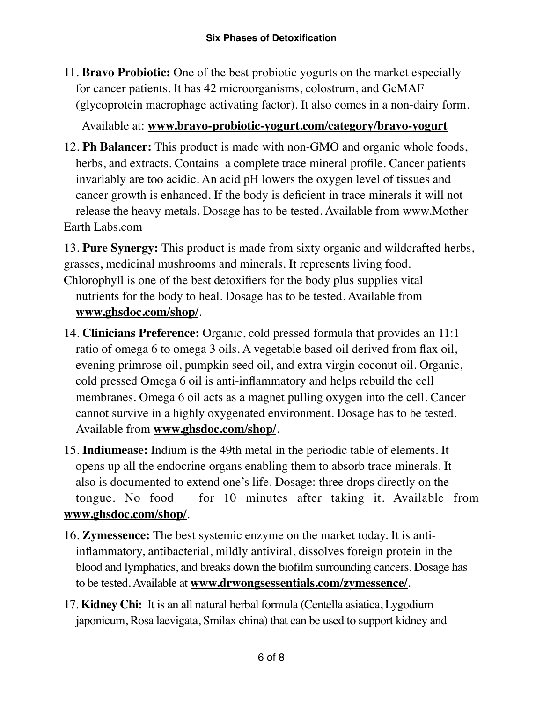11. **Bravo Probiotic:** One of the best probiotic yogurts on the market especially for cancer patients. It has 42 microorganisms, colostrum, and GcMAF (glycoprotein macrophage activating factor). It also comes in a non-dairy form.

Available at: **www.bravo-probiotic-yogurt.com/category/bravo-yogurt**

12. **Ph Balancer:** This product is made with non-GMO and organic whole foods, herbs, and extracts. Contains a complete trace mineral profile. Cancer patients invariably are too acidic. An acid pH lowers the oxygen level of tissues and cancer growth is enhanced. If the body is deficient in trace minerals it will not release the heavy metals. Dosage has to be tested. Available from www.Mother Earth Labs.com

13. **Pure Synergy:** This product is made from sixty organic and wildcrafted herbs, grasses, medicinal mushrooms and minerals. It represents living food.

- Chlorophyll is one of the best detoxifiers for the body plus supplies vital nutrients for the body to heal. Dosage has to be tested. Available from **www.ghsdoc.com/shop/**.
- 14. **Clinicians Preference:** Organic, cold pressed formula that provides an 11:1 ratio of omega 6 to omega 3 oils. A vegetable based oil derived from flax oil, evening primrose oil, pumpkin seed oil, and extra virgin coconut oil. Organic, cold pressed Omega 6 oil is anti-inflammatory and helps rebuild the cell membranes. Omega 6 oil acts as a magnet pulling oxygen into the cell. Cancer cannot survive in a highly oxygenated environment. Dosage has to be tested. Available from **www.ghsdoc.com/shop/**.
- 15. **Indiumease:** Indium is the 49th metal in the periodic table of elements. It opens up all the endocrine organs enabling them to absorb trace minerals. It also is documented to extend one's life. Dosage: three drops directly on the tongue. No food for 10 minutes after taking it. Available from **www.ghsdoc.com/shop/**.
- 16. **Zymessence:** The best systemic enzyme on the market today. It is antiinflammatory, antibacterial, mildly antiviral, dissolves foreign protein in the blood and lymphatics, and breaks down the biofilm surrounding cancers. Dosage has to be tested. Available at **[www.drwongsessentials.com/zymessence/](http://www.drwongsessentials.com/zymessence/)**.
- 17. **Kidney Chi:** It is an all natural herbal formula (Centella asiatica, Lygodium japonicum, Rosa laevigata, Smilax china) that can be used to support kidney and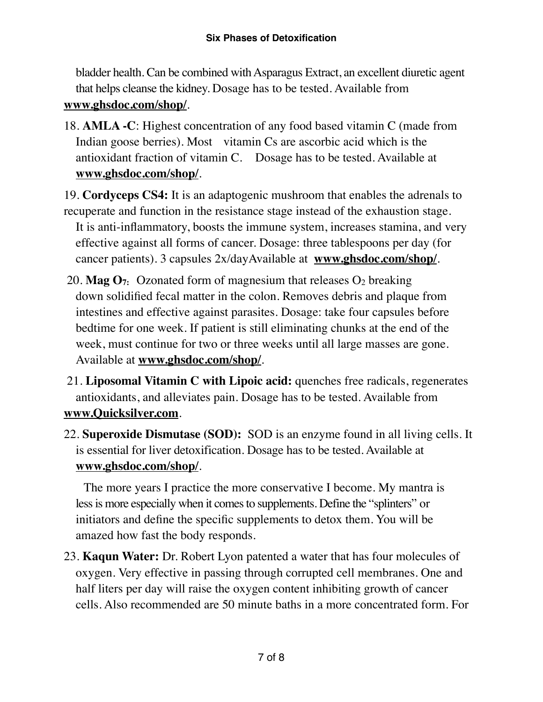bladder health. Can be combined with Asparagus Extract, an excellent diuretic agent that helps cleanse the kidney. Dosage has to be tested. Available from **www.ghsdoc.com/shop/**.

18. **AMLA -C**: Highest concentration of any food based vitamin C (made from Indian goose berries). Most vitamin Cs are ascorbic acid which is the antioxidant fraction of vitamin C. Dosage has to be tested. Available at **www.ghsdoc.com/shop/**.

19. **Cordyceps CS4:** It is an adaptogenic mushroom that enables the adrenals to

- recuperate and function in the resistance stage instead of the exhaustion stage. It is anti-inflammatory, boosts the immune system, increases stamina, and very effective against all forms of cancer. Dosage: three tablespoons per day (for cancer patients). 3 capsules 2x/dayAvailable at **www.ghsdoc.com/shop/**.
- 20. **Mag**  $O_7$ **:** Ozonated form of magnesium that releases  $O_2$  breaking down solidified fecal matter in the colon. Removes debris and plaque from intestines and effective against parasites. Dosage: take four capsules before bedtime for one week. If patient is still eliminating chunks at the end of the week, must continue for two or three weeks until all large masses are gone. Available at **www.ghsdoc.com/shop/**.
- 21. **Liposomal Vitamin C with Lipoic acid:** quenches free radicals, regenerates antioxidants, and alleviates pain. Dosage has to be tested. Available from **[www.Quicksilver.com](http://www.Quicksilver.com)**.
- 22. **Superoxide Dismutase (SOD):** SOD is an enzyme found in all living cells. It is essential for liver detoxification. Dosage has to be tested. Available at **www.ghsdoc.com/shop/**.

The more years I practice the more conservative I become. My mantra is less is more especially when it comes to supplements. Define the "splinters" or initiators and define the specific supplements to detox them. You will be amazed how fast the body responds.

23. **Kaqun Water:** Dr. Robert Lyon patented a water that has four molecules of oxygen. Very effective in passing through corrupted cell membranes. One and half liters per day will raise the oxygen content inhibiting growth of cancer cells. Also recommended are 50 minute baths in a more concentrated form. For